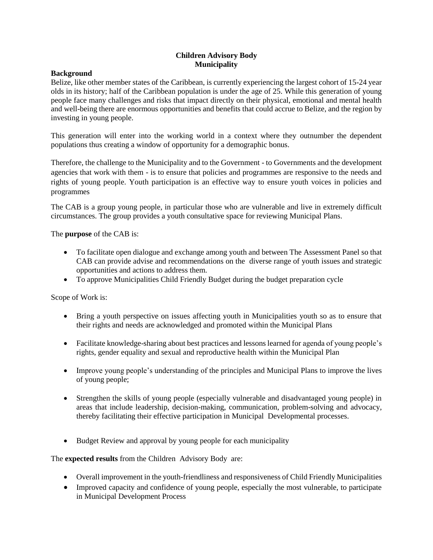## **Children Advisory Body Municipality**

## **Background**

Belize, like other member states of the Caribbean, is currently experiencing the largest cohort of 15-24 year olds in its history; half of the Caribbean population is under the age of 25. While this generation of young people face many challenges and risks that impact directly on their physical, emotional and mental health and well-being there are enormous opportunities and benefits that could accrue to Belize, and the region by investing in young people.

This generation will enter into the working world in a context where they outnumber the dependent populations thus creating a window of opportunity for a demographic bonus.

Therefore, the challenge to the Municipality and to the Government - to Governments and the development agencies that work with them - is to ensure that policies and programmes are responsive to the needs and rights of young people. Youth participation is an effective way to ensure youth voices in policies and programmes

The CAB is a group young people, in particular those who are vulnerable and live in extremely difficult circumstances. The group provides a youth consultative space for reviewing Municipal Plans.

## The **purpose** of the CAB is:

- To facilitate open dialogue and exchange among youth and between The Assessment Panel so that CAB can provide advise and recommendations on the diverse range of youth issues and strategic opportunities and actions to address them.
- To approve Municipalities Child Friendly Budget during the budget preparation cycle

Scope of Work is:

- Bring a youth perspective on issues affecting youth in Municipalities youth so as to ensure that their rights and needs are acknowledged and promoted within the Municipal Plans
- Facilitate knowledge-sharing about best practices and lessons learned for agenda of young people's rights, gender equality and sexual and reproductive health within the Municipal Plan
- Improve young people's understanding of the principles and Municipal Plans to improve the lives of young people;
- Strengthen the skills of young people (especially vulnerable and disadvantaged young people) in areas that include leadership, decision-making, communication, problem-solving and advocacy, thereby facilitating their effective participation in Municipal Developmental processes.
- Budget Review and approval by young people for each municipality

The **expected results** from the Children Advisory Body are:

- Overall improvement in the youth-friendliness and responsiveness of Child Friendly Municipalities
- Improved capacity and confidence of young people, especially the most vulnerable, to participate in Municipal Development Process